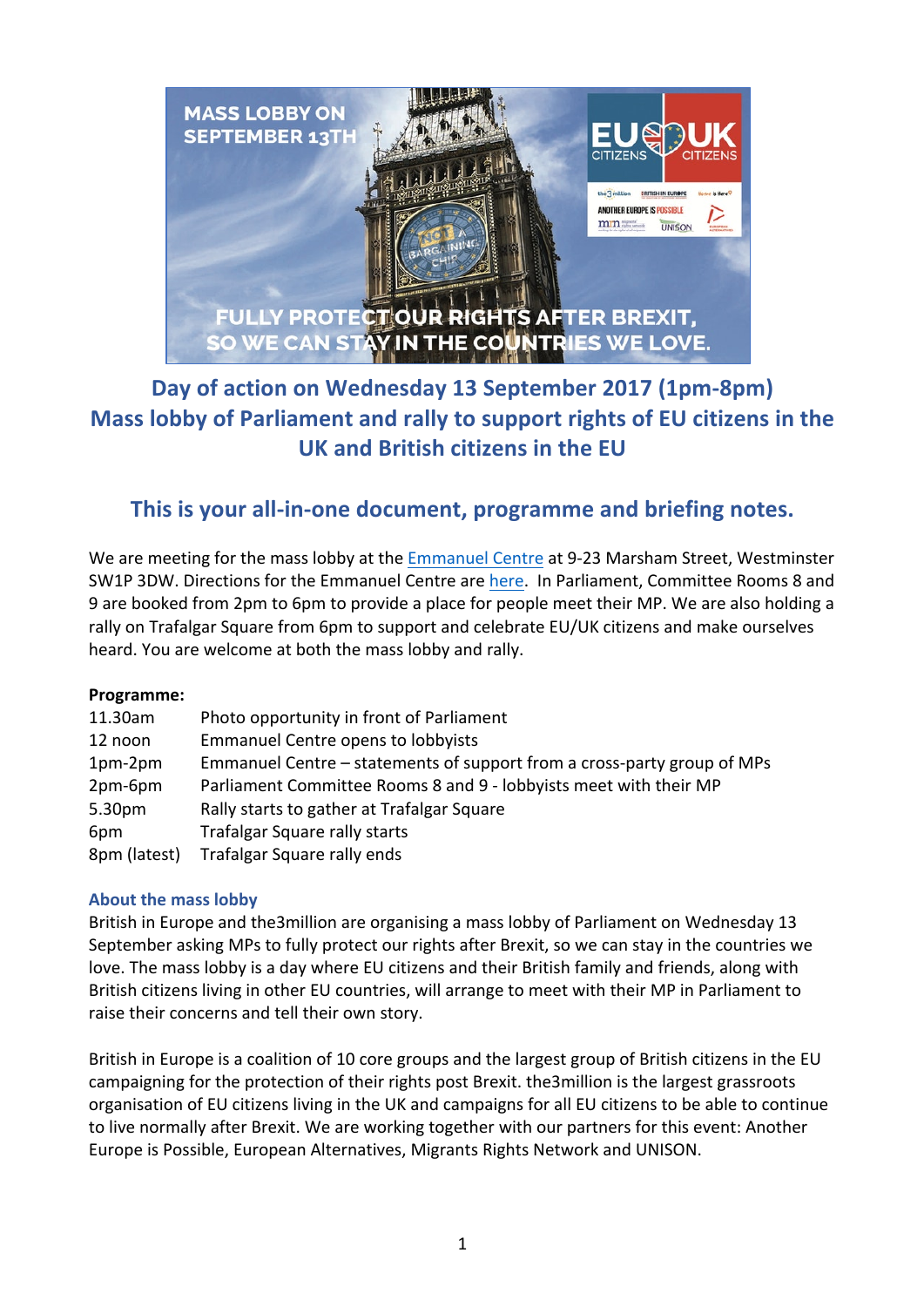

# Day of action on Wednesday 13 September 2017 (1pm-8pm) **Mass lobby of Parliament and rally to support rights of EU citizens in the UK and British citizens in the EU**

## This is your all-in-one document, programme and briefing notes.

We are meeting for the mass lobby at the Emmanuel Centre at 9-23 Marsham Street, Westminster SW1P 3DW. Directions for the Emmanuel Centre are here. In Parliament, Committee Rooms 8 and 9 are booked from 2pm to 6pm to provide a place for people meet their MP. We are also holding a rally on Trafalgar Square from 6pm to support and celebrate EU/UK citizens and make ourselves heard. You are welcome at both the mass lobby and rally.

#### **Programme:**

| 11.30am      | Photo opportunity in front of Parliament                                |
|--------------|-------------------------------------------------------------------------|
| 12 noon      | <b>Emmanuel Centre opens to lobbyists</b>                               |
| $1pm-2pm$    | Emmanuel Centre – statements of support from a cross-party group of MPs |
| 2pm-6pm      | Parliament Committee Rooms 8 and 9 - lobbyists meet with their MP       |
| 5.30pm       | Rally starts to gather at Trafalgar Square                              |
| 6pm          | Trafalgar Square rally starts                                           |
| 8pm (latest) | Trafalgar Square rally ends                                             |

#### **About the mass lobby**

British in Europe and the3million are organising a mass lobby of Parliament on Wednesday 13 September asking MPs to fully protect our rights after Brexit, so we can stay in the countries we love. The mass lobby is a day where EU citizens and their British family and friends, along with British citizens living in other EU countries, will arrange to meet with their MP in Parliament to raise their concerns and tell their own story.

British in Europe is a coalition of 10 core groups and the largest group of British citizens in the EU campaigning for the protection of their rights post Brexit. the3million is the largest grassroots organisation of EU citizens living in the UK and campaigns for all EU citizens to be able to continue to live normally after Brexit. We are working together with our partners for this event: Another Europe is Possible, European Alternatives, Migrants Rights Network and UNISON.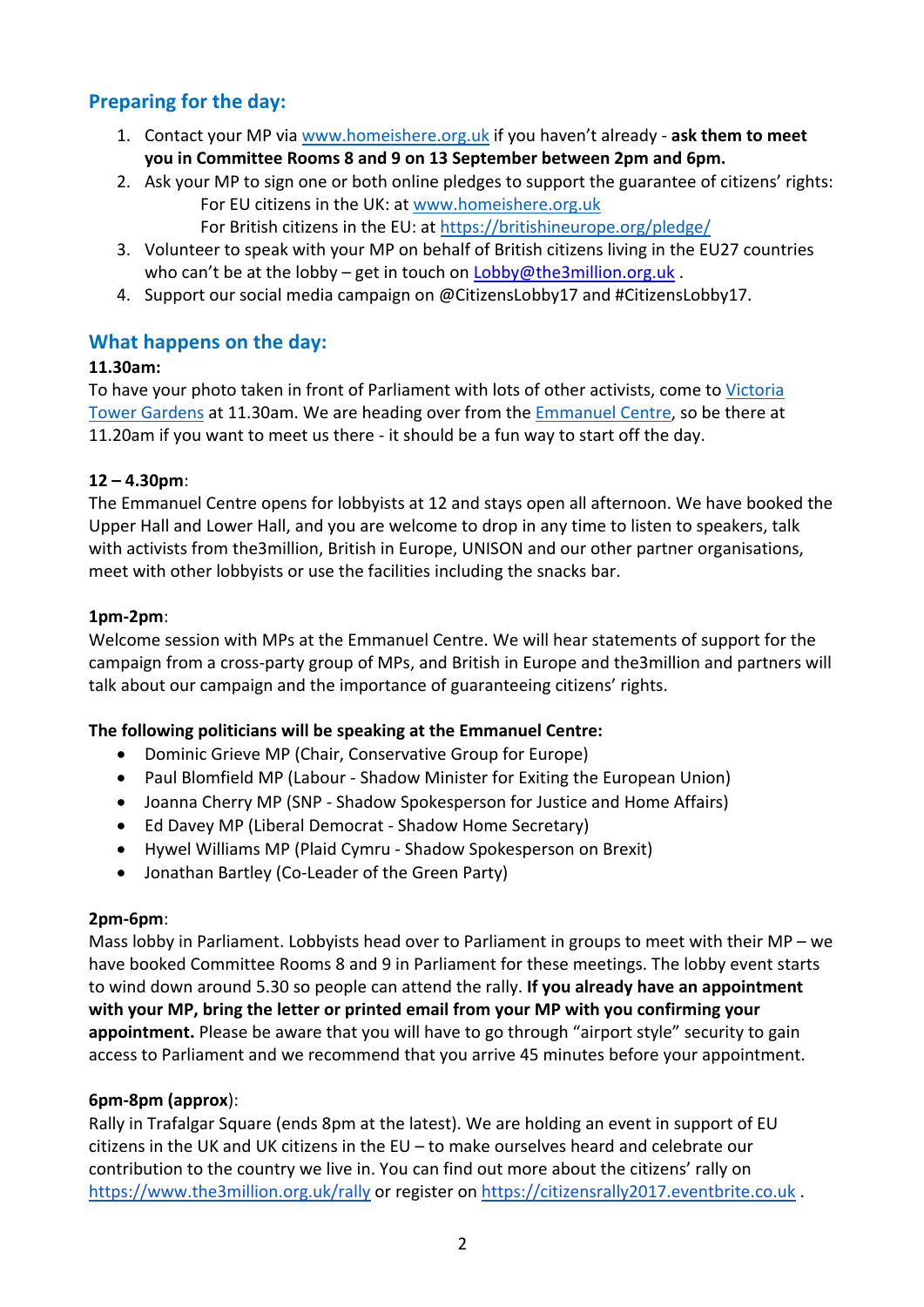## **Preparing for the day:**

- 1. Contact your MP via www.homeishere.org.uk if you haven't already ask them to meet you in Committee Rooms 8 and 9 on 13 September between 2pm and 6pm.
- 2. Ask your MP to sign one or both online pledges to support the guarantee of citizens' rights: For EU citizens in the UK: at www.homeishere.org.uk
	- For British citizens in the EU: at https://britishineurope.org/pledge/
- 3. Volunteer to speak with your MP on behalf of British citizens living in the EU27 countries who can't be at the lobby – get in touch on Lobby@the3million.org.uk.
- 4. Support our social media campaign on @CitizensLobby17 and #CitizensLobby17.

## **What happens on the day:**

#### **11.30am:**

To have your photo taken in front of Parliament with lots of other activists, come to Victoria Tower Gardens at 11.30am. We are heading over from the Emmanuel Centre, so be there at 11.20am if you want to meet us there - it should be a fun way to start off the day.

#### **12 – 4.30pm**:

The Emmanuel Centre opens for lobbyists at 12 and stays open all afternoon. We have booked the Upper Hall and Lower Hall, and you are welcome to drop in any time to listen to speakers, talk with activists from the3million, British in Europe, UNISON and our other partner organisations, meet with other lobbyists or use the facilities including the snacks bar.

#### **1pm-2pm**:

Welcome session with MPs at the Emmanuel Centre. We will hear statements of support for the campaign from a cross-party group of MPs, and British in Europe and the3million and partners will talk about our campaign and the importance of guaranteeing citizens' rights.

### **The following politicians will be speaking at the Emmanuel Centre:**

- Dominic Grieve MP (Chair, Conservative Group for Europe)
- Paul Blomfield MP (Labour Shadow Minister for Exiting the European Union)
- Joanna Cherry MP (SNP Shadow Spokesperson for Justice and Home Affairs)
- Ed Davey MP (Liberal Democrat Shadow Home Secretary)
- Hywel Williams MP (Plaid Cymru Shadow Spokesperson on Brexit)
- Jonathan Bartley (Co-Leader of the Green Party)

#### **2pm-6pm**:

Mass lobby in Parliament. Lobbyists head over to Parliament in groups to meet with their MP – we have booked Committee Rooms 8 and 9 in Parliament for these meetings. The lobby event starts to wind down around 5.30 so people can attend the rally. If you already have an appointment with your MP, bring the letter or printed email from your MP with you confirming your **appointment.** Please be aware that you will have to go through "airport style" security to gain access to Parliament and we recommend that you arrive 45 minutes before your appointment.

#### **6pm-8pm (approx**):

Rally in Trafalgar Square (ends 8pm at the latest). We are holding an event in support of EU citizens in the UK and UK citizens in the  $EU$  – to make ourselves heard and celebrate our contribution to the country we live in. You can find out more about the citizens' rally on https://www.the3million.org.uk/rally or register on https://citizensrally2017.eventbrite.co.uk .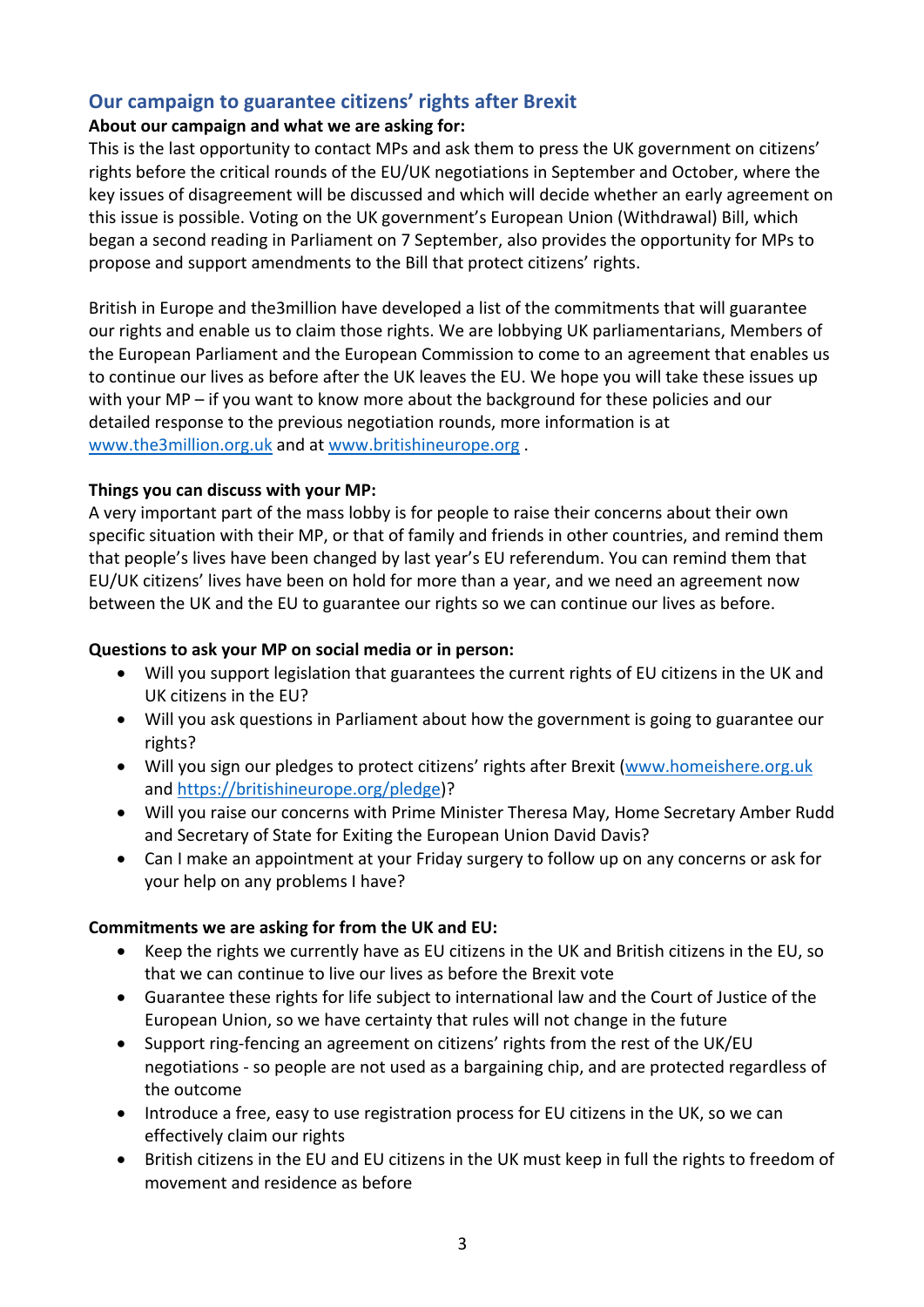## **Our campaign to guarantee citizens' rights after Brexit**

#### About our campaign and what we are asking for:

This is the last opportunity to contact MPs and ask them to press the UK government on citizens' rights before the critical rounds of the EU/UK negotiations in September and October, where the key issues of disagreement will be discussed and which will decide whether an early agreement on this issue is possible. Voting on the UK government's European Union (Withdrawal) Bill, which began a second reading in Parliament on 7 September, also provides the opportunity for MPs to propose and support amendments to the Bill that protect citizens' rights.

British in Europe and the3million have developed a list of the commitments that will guarantee our rights and enable us to claim those rights. We are lobbying UK parliamentarians, Members of the European Parliament and the European Commission to come to an agreement that enables us to continue our lives as before after the UK leaves the EU. We hope you will take these issues up with your  $MP - if$  you want to know more about the background for these policies and our detailed response to the previous negotiation rounds, more information is at www.the3million.org.uk and at www.britishineurope.org.

#### **Things you can discuss with your MP:**

A very important part of the mass lobby is for people to raise their concerns about their own specific situation with their MP, or that of family and friends in other countries, and remind them that people's lives have been changed by last year's EU referendum. You can remind them that EU/UK citizens' lives have been on hold for more than a year, and we need an agreement now between the UK and the EU to guarantee our rights so we can continue our lives as before.

#### **Questions to ask your MP on social media or in person:**

- Will you support legislation that guarantees the current rights of EU citizens in the UK and UK citizens in the EU?
- Will you ask questions in Parliament about how the government is going to guarantee our rights?
- Will you sign our pledges to protect citizens' rights after Brexit (www.homeishere.org.uk and https://britishineurope.org/pledge)?
- Will you raise our concerns with Prime Minister Theresa May, Home Secretary Amber Rudd and Secretary of State for Exiting the European Union David Davis?
- Can I make an appointment at your Friday surgery to follow up on any concerns or ask for your help on any problems I have?

#### **Commitments we are asking for from the UK and EU:**

- Keep the rights we currently have as EU citizens in the UK and British citizens in the EU, so that we can continue to live our lives as before the Brexit vote
- Guarantee these rights for life subject to international law and the Court of Justice of the European Union, so we have certainty that rules will not change in the future
- Support ring-fencing an agreement on citizens' rights from the rest of the UK/EU negotiations - so people are not used as a bargaining chip, and are protected regardless of the outcome
- Introduce a free, easy to use registration process for EU citizens in the UK, so we can effectively claim our rights
- British citizens in the EU and EU citizens in the UK must keep in full the rights to freedom of movement and residence as before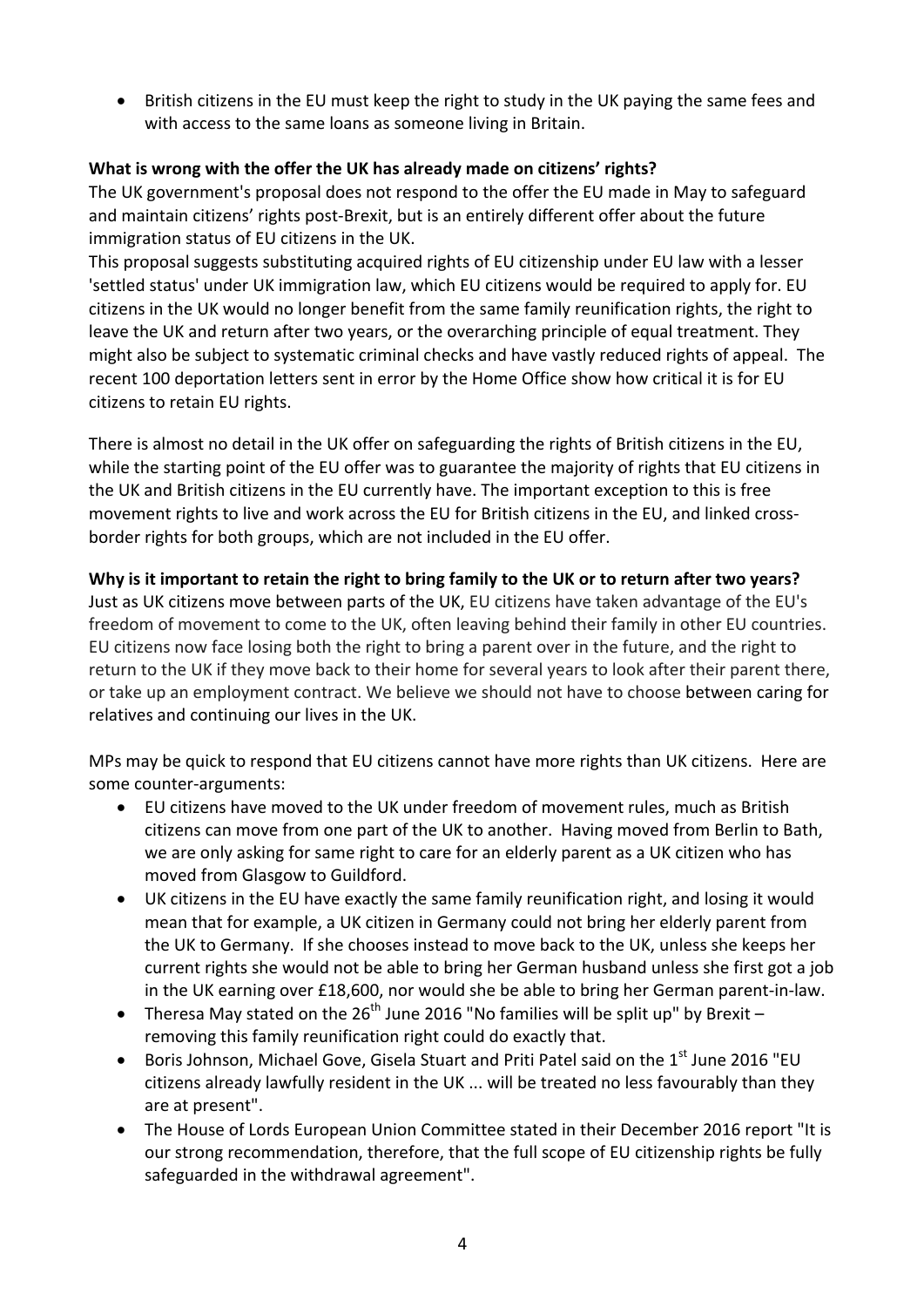• British citizens in the EU must keep the right to study in the UK paying the same fees and with access to the same loans as someone living in Britain.

### **What** is wrong with the offer the UK has already made on citizens' rights?

The UK government's proposal does not respond to the offer the EU made in May to safeguard and maintain citizens' rights post-Brexit, but is an entirely different offer about the future immigration status of EU citizens in the UK.

This proposal suggests substituting acquired rights of EU citizenship under EU law with a lesser 'settled status' under UK immigration law, which EU citizens would be required to apply for. EU citizens in the UK would no longer benefit from the same family reunification rights, the right to leave the UK and return after two years, or the overarching principle of equal treatment. They might also be subject to systematic criminal checks and have vastly reduced rights of appeal. The recent 100 deportation letters sent in error by the Home Office show how critical it is for EU citizens to retain EU rights.

There is almost no detail in the UK offer on safeguarding the rights of British citizens in the EU, while the starting point of the EU offer was to guarantee the majority of rights that EU citizens in the UK and British citizens in the EU currently have. The important exception to this is free movement rights to live and work across the EU for British citizens in the EU, and linked crossborder rights for both groups, which are not included in the EU offer.

#### **Why** is it important to retain the right to bring family to the UK or to return after two years?

Just as UK citizens move between parts of the UK, EU citizens have taken advantage of the EU's freedom of movement to come to the UK, often leaving behind their family in other EU countries. EU citizens now face losing both the right to bring a parent over in the future, and the right to return to the UK if they move back to their home for several years to look after their parent there, or take up an employment contract. We believe we should not have to choose between caring for relatives and continuing our lives in the UK.

MPs may be quick to respond that EU citizens cannot have more rights than UK citizens. Here are some counter-arguments:

- EU citizens have moved to the UK under freedom of movement rules, much as British citizens can move from one part of the UK to another. Having moved from Berlin to Bath, we are only asking for same right to care for an elderly parent as a UK citizen who has moved from Glasgow to Guildford.
- UK citizens in the EU have exactly the same family reunification right, and losing it would mean that for example, a UK citizen in Germany could not bring her elderly parent from the UK to Germany. If she chooses instead to move back to the UK, unless she keeps her current rights she would not be able to bring her German husband unless she first got a job in the UK earning over £18,600, nor would she be able to bring her German parent-in-law.
- Theresa May stated on the 26<sup>th</sup> June 2016 "No families will be split up" by Brexit removing this family reunification right could do exactly that.
- Boris Johnson, Michael Gove, Gisela Stuart and Priti Patel said on the  $1<sup>st</sup>$  June 2016 "EU citizens already lawfully resident in the UK ... will be treated no less favourably than they are at present".
- The House of Lords European Union Committee stated in their December 2016 report "It is our strong recommendation, therefore, that the full scope of EU citizenship rights be fully safeguarded in the withdrawal agreement".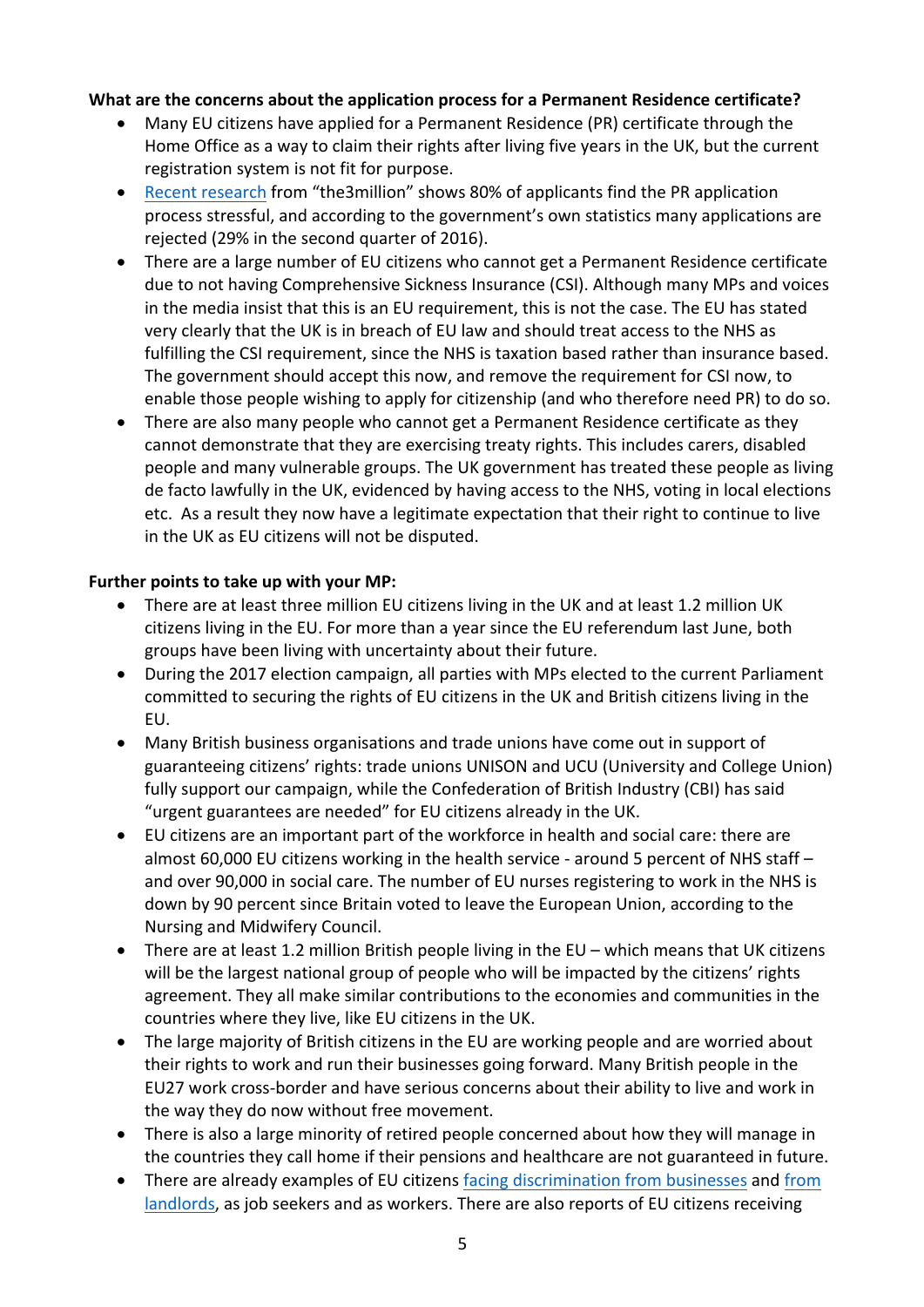#### **What are the concerns about the application process for a Permanent Residence certificate?**

- Many EU citizens have applied for a Permanent Residence (PR) certificate through the Home Office as a way to claim their rights after living five years in the UK, but the current registration system is not fit for purpose.
- Recent research from "the3million" shows 80% of applicants find the PR application process stressful, and according to the government's own statistics many applications are rejected (29% in the second quarter of 2016).
- There are a large number of EU citizens who cannot get a Permanent Residence certificate due to not having Comprehensive Sickness Insurance (CSI). Although many MPs and voices in the media insist that this is an EU requirement, this is not the case. The EU has stated very clearly that the UK is in breach of EU law and should treat access to the NHS as fulfilling the CSI requirement, since the NHS is taxation based rather than insurance based. The government should accept this now, and remove the requirement for CSI now, to enable those people wishing to apply for citizenship (and who therefore need PR) to do so.
- There are also many people who cannot get a Permanent Residence certificate as they cannot demonstrate that they are exercising treaty rights. This includes carers, disabled people and many vulnerable groups. The UK government has treated these people as living de facto lawfully in the UK, evidenced by having access to the NHS, voting in local elections etc. As a result they now have a legitimate expectation that their right to continue to live in the UK as EU citizens will not be disputed.

#### Further points to take up with your MP:

- There are at least three million EU citizens living in the UK and at least 1.2 million UK citizens living in the EU. For more than a year since the EU referendum last June, both groups have been living with uncertainty about their future.
- During the 2017 election campaign, all parties with MPs elected to the current Parliament committed to securing the rights of EU citizens in the UK and British citizens living in the EU.
- Many British business organisations and trade unions have come out in support of guaranteeing citizens' rights: trade unions UNISON and UCU (University and College Union) fully support our campaign, while the Confederation of British Industry (CBI) has said "urgent guarantees are needed" for EU citizens already in the UK.
- EU citizens are an important part of the workforce in health and social care: there are almost  $60,000$  EU citizens working in the health service - around 5 percent of NHS staff – and over 90,000 in social care. The number of EU nurses registering to work in the NHS is down by 90 percent since Britain voted to leave the European Union, according to the Nursing and Midwifery Council.
- There are at least 1.2 million British people living in the  $EU -$  which means that UK citizens will be the largest national group of people who will be impacted by the citizens' rights agreement. They all make similar contributions to the economies and communities in the countries where they live, like EU citizens in the UK.
- The large majority of British citizens in the EU are working people and are worried about their rights to work and run their businesses going forward. Many British people in the EU27 work cross-border and have serious concerns about their ability to live and work in the way they do now without free movement.
- There is also a large minority of retired people concerned about how they will manage in the countries they call home if their pensions and healthcare are not guaranteed in future.
- There are already examples of EU citizens facing discrimination from businesses and from landlords, as job seekers and as workers. There are also reports of EU citizens receiving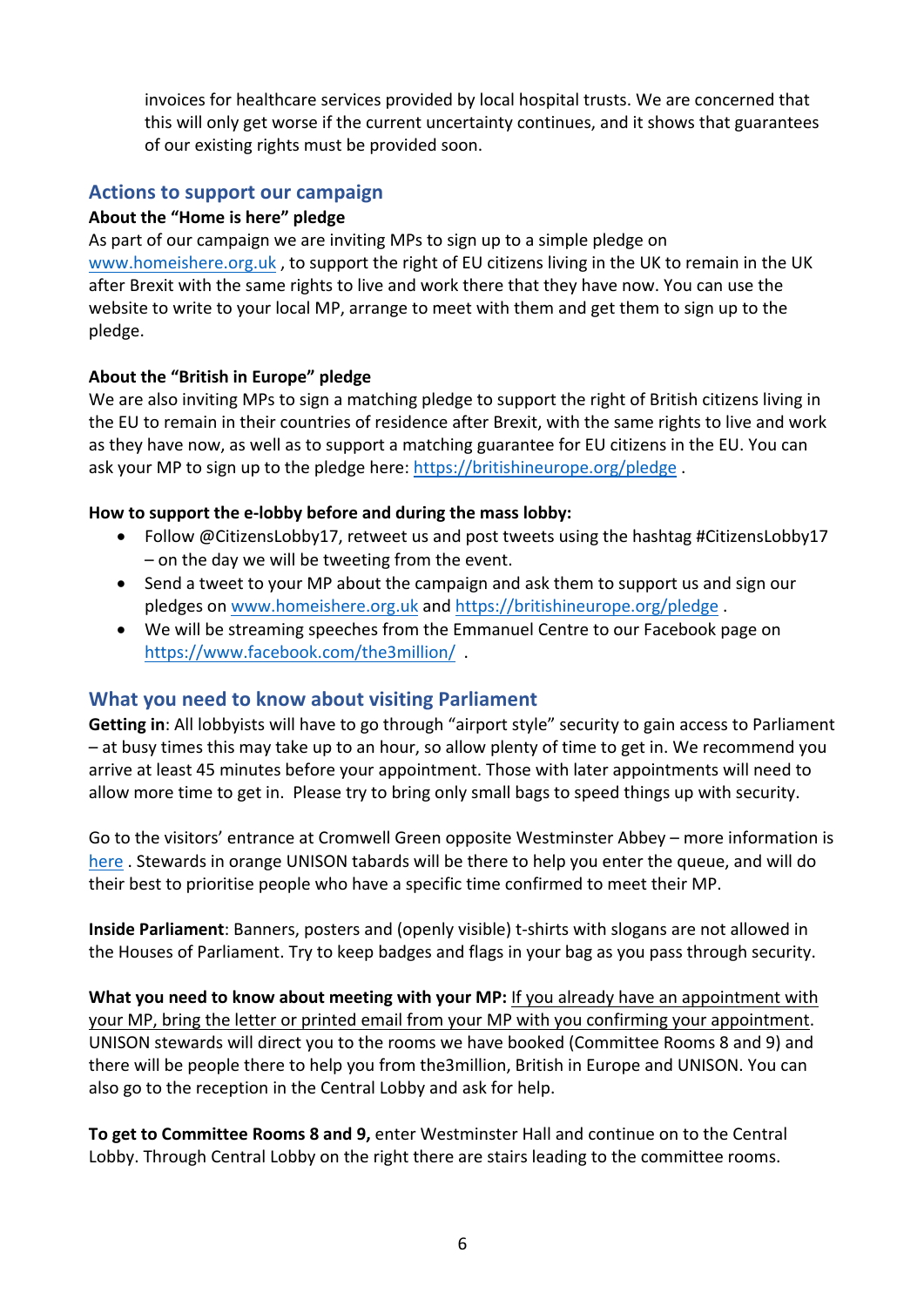invoices for healthcare services provided by local hospital trusts. We are concerned that this will only get worse if the current uncertainty continues, and it shows that guarantees of our existing rights must be provided soon.

## **Actions to support our campaign**

#### About the "Home is here" pledge

As part of our campaign we are inviting MPs to sign up to a simple pledge on www.homeishere.org.uk, to support the right of EU citizens living in the UK to remain in the UK after Brexit with the same rights to live and work there that they have now. You can use the website to write to your local MP, arrange to meet with them and get them to sign up to the pledge.

#### About the "British in Europe" pledge

We are also inviting MPs to sign a matching pledge to support the right of British citizens living in the EU to remain in their countries of residence after Brexit, with the same rights to live and work as they have now, as well as to support a matching guarantee for EU citizens in the EU. You can ask your MP to sign up to the pledge here: https://britishineurope.org/pledge.

#### How to support the e-lobby before and during the mass lobby:

- Follow @CitizensLobby17, retweet us and post tweets using the hashtag #CitizensLobby17  $-$  on the day we will be tweeting from the event.
- Send a tweet to your MP about the campaign and ask them to support us and sign our pledges on www.homeishere.org.uk and https://britishineurope.org/pledge.
- We will be streaming speeches from the Emmanuel Centre to our Facebook page on https://www.facebook.com/the3million/ .

## **What you need to know about visiting Parliament**

**Getting in:** All lobbyists will have to go through "airport style" security to gain access to Parliament  $-$  at busy times this may take up to an hour, so allow plenty of time to get in. We recommend you arrive at least 45 minutes before your appointment. Those with later appointments will need to allow more time to get in. Please try to bring only small bags to speed things up with security.

Go to the visitors' entrance at Cromwell Green opposite Westminster Abbey – more information is here, Stewards in orange UNISON tabards will be there to help you enter the queue, and will do their best to prioritise people who have a specific time confirmed to meet their MP.

**Inside Parliament:** Banners, posters and (openly visible) t-shirts with slogans are not allowed in the Houses of Parliament. Try to keep badges and flags in your bag as you pass through security.

**What you need to know about meeting with your MP:** If you already have an appointment with your MP, bring the letter or printed email from your MP with you confirming your appointment. UNISON stewards will direct you to the rooms we have booked (Committee Rooms 8 and 9) and there will be people there to help you from the3million, British in Europe and UNISON. You can also go to the reception in the Central Lobby and ask for help.

**To get to Committee Rooms 8 and 9, enter Westminster Hall and continue on to the Central** Lobby. Through Central Lobby on the right there are stairs leading to the committee rooms.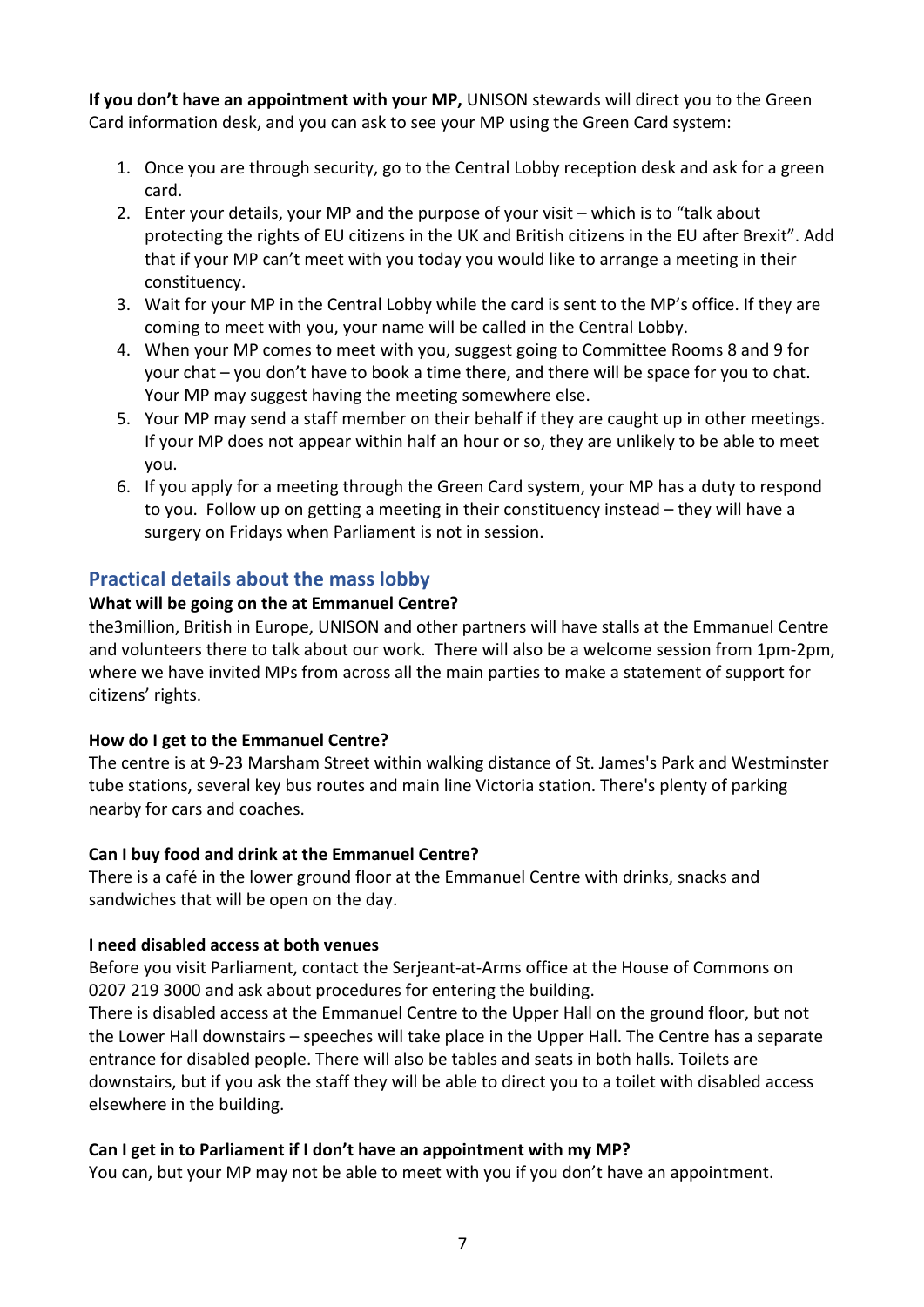**If you don't have an appointment with your MP,** UNISON stewards will direct you to the Green Card information desk, and you can ask to see your MP using the Green Card system:

- 1. Once you are through security, go to the Central Lobby reception desk and ask for a green card.
- 2. Enter your details, your MP and the purpose of your visit which is to "talk about protecting the rights of EU citizens in the UK and British citizens in the EU after Brexit". Add that if your MP can't meet with you today you would like to arrange a meeting in their constituency.
- 3. Wait for your MP in the Central Lobby while the card is sent to the MP's office. If they are coming to meet with you, your name will be called in the Central Lobby.
- 4. When your MP comes to meet with you, suggest going to Committee Rooms 8 and 9 for your chat – you don't have to book a time there, and there will be space for you to chat. Your MP may suggest having the meeting somewhere else.
- 5. Your MP may send a staff member on their behalf if they are caught up in other meetings. If your MP does not appear within half an hour or so, they are unlikely to be able to meet you.
- 6. If you apply for a meeting through the Green Card system, your MP has a duty to respond to you. Follow up on getting a meeting in their constituency instead – they will have a surgery on Fridays when Parliament is not in session.

## **Practical details about the mass lobby**

#### **What will be going on the at Emmanuel Centre?**

the3million, British in Europe, UNISON and other partners will have stalls at the Emmanuel Centre and volunteers there to talk about our work. There will also be a welcome session from 1pm-2pm, where we have invited MPs from across all the main parties to make a statement of support for citizens' rights.

#### **How do I get to the Emmanuel Centre?**

The centre is at 9-23 Marsham Street within walking distance of St. James's Park and Westminster tube stations, several key bus routes and main line Victoria station. There's plenty of parking nearby for cars and coaches.

#### Can I buy food and drink at the Emmanuel Centre?

There is a café in the lower ground floor at the Emmanuel Centre with drinks, snacks and sandwiches that will be open on the day.

#### **I need disabled access at both venues**

Before you visit Parliament, contact the Serieant-at-Arms office at the House of Commons on 0207 219 3000 and ask about procedures for entering the building.

There is disabled access at the Emmanuel Centre to the Upper Hall on the ground floor, but not the Lower Hall downstairs – speeches will take place in the Upper Hall. The Centre has a separate entrance for disabled people. There will also be tables and seats in both halls. Toilets are downstairs, but if you ask the staff they will be able to direct you to a toilet with disabled access elsewhere in the building.

#### Can I get in to Parliament if I don't have an appointment with my MP?

You can, but your MP may not be able to meet with you if you don't have an appointment.